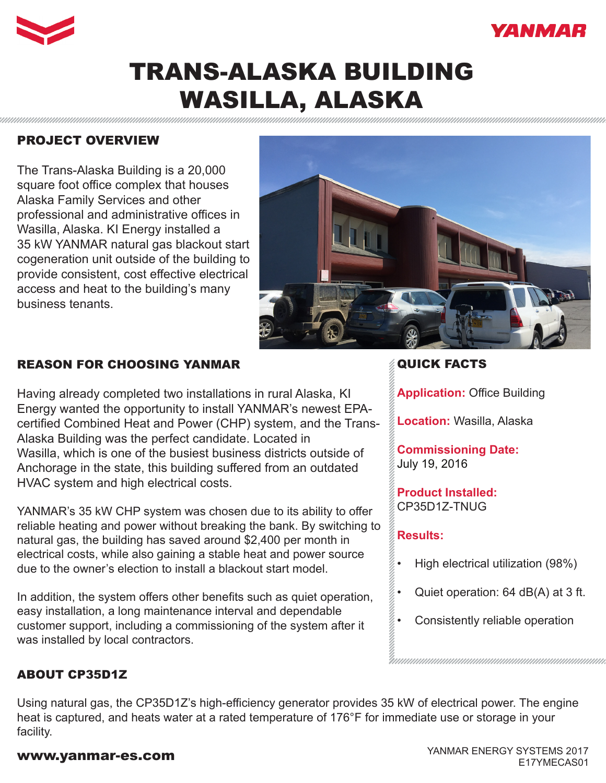



# TRANS-ALASKA BUILDING WASILLA, ALASKA

## PROJECT OVERVIEW

The Trans-Alaska Building is a 20,000 square foot office complex that houses Alaska Family Services and other professional and administrative offices in Wasilla, Alaska. KI Energy installed a 35 kW YANMAR natural gas blackout start cogeneration unit outside of the building to provide consistent, cost effective electrical access and heat to the building's many business tenants.



## REASON FOR CHOOSING YANMAR

Having already completed two installations in rural Alaska, KI Energy wanted the opportunity to install YANMAR's newest EPAcertified Combined Heat and Power (CHP) system, and the Trans-Alaska Building was the perfect candidate. Located in Wasilla, which is one of the busiest business districts outside of Anchorage in the state, this building suffered from an outdated HVAC system and high electrical costs.

YANMAR's 35 kW CHP system was chosen due to its ability to offer reliable heating and power without breaking the bank. By switching to natural gas, the building has saved around \$2,400 per month in electrical costs, while also gaining a stable heat and power source due to the owner's election to install a blackout start model.

In addition, the system offers other benefits such as quiet operation, easy installation, a long maintenance interval and dependable customer support, including a commissioning of the system after it was installed by local contractors.

# QUICK FACTS

**Application:** Office Building

**Location:** Wasilla, Alaska

**Commissioning Date:**  July 19, 2016

**Product Installed:** CP35D1Z-TNUG

#### **Results:**

- High electrical utilization (98%)
- Quiet operation: 64 dB(A) at 3 ft.
- Consistently reliable operation

#### ABOUT CP35D1Z

Using natural gas, the CP35D1Z's high-efficiency generator provides 35 kW of electrical power. The engine heat is captured, and heats water at a rated temperature of 176°F for immediate use or storage in your facility.